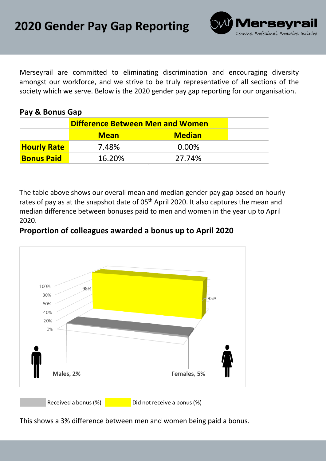

Merseyrail are committed to eliminating discrimination and encouraging diversity amongst our workforce, and we strive to be truly representative of all sections of the society which we serve. Below is the 2020 gender pay gap reporting for our organisation.

## **Pay & Bonus Gap**

|                    | <b>Difference Between Men and Women</b> |               |  |
|--------------------|-----------------------------------------|---------------|--|
|                    | <b>Mean</b>                             | <b>Median</b> |  |
| <b>Hourly Rate</b> | 7.48%                                   | $0.00\%$      |  |
| <b>Bonus Paid</b>  | 16.20%                                  | 27.74%        |  |

The table above shows our overall mean and median gender pay gap based on hourly rates of pay as at the snapshot date of 05<sup>th</sup> April 2020. It also captures the mean and median difference between bonuses paid to men and women in the year up to April 2020.

## **Proportion of colleagues awarded a bonus up to April 2020**



This shows a 3% difference between men and women being paid a bonus.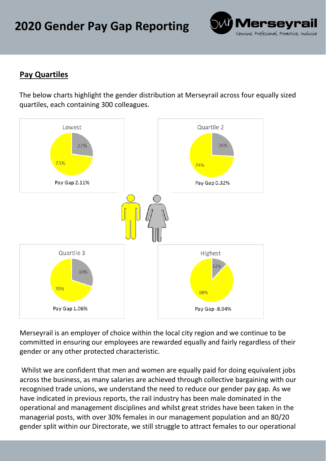

## **Pay Quartiles**

The below charts highlight the gender distribution at Merseyrail across four equally sized quartiles, each containing 300 colleagues.



Merseyrail is an employer of choice within the local city region and we continue to be committed in ensuring our employees are rewarded equally and fairly regardless of their gender or any other protected characteristic.

Whilst we are confident that men and women are equally paid for doing equivalent jobs across the business, as many salaries are achieved through collective bargaining with our recognised trade unions, we understand the need to reduce our gender pay gap. As we have indicated in previous reports, the rail industry has been male dominated in the operational and management disciplines and whilst great strides have been taken in the managerial posts, with over 30% females in our management population and an 80/20 gender split within our Directorate, we still struggle to attract females to our operational